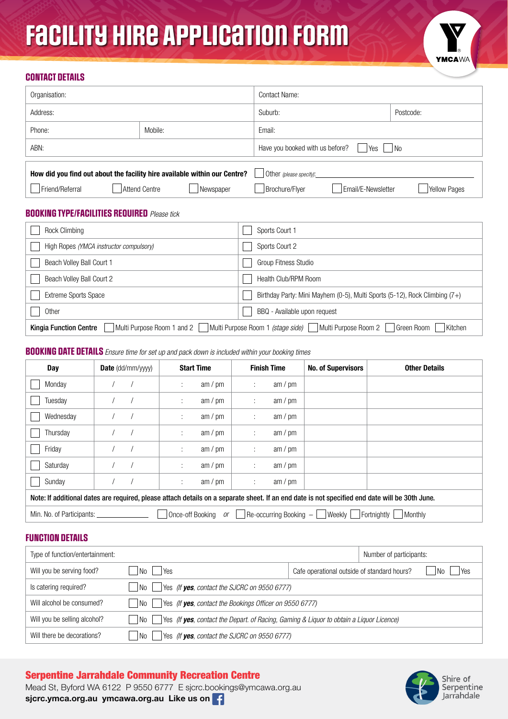# Facility Hire Application Form



## CONTACT DETAILS

| Organisation:                                                             |               |                  | Contact Name:                                |                    |                     |  |
|---------------------------------------------------------------------------|---------------|------------------|----------------------------------------------|--------------------|---------------------|--|
| Address:                                                                  |               |                  | Suburb:                                      |                    | Postcode:           |  |
| Phone:                                                                    | Mobile:       |                  |                                              | Email:             |                     |  |
| ABN:                                                                      |               |                  | Have you booked with us before?<br>Yes<br>No |                    |                     |  |
|                                                                           |               |                  |                                              |                    |                     |  |
| How did you find out about the facility hire available within our Centre? |               |                  | Other (please specify):                      |                    |                     |  |
| Friend/Referral                                                           | Attend Centre | <b>Newspaper</b> | Brochure/Flyer                               | Email/E-Newsletter | <b>Yellow Pages</b> |  |

## BOOKING TYPE/FACILITIES REQUIRED *Please tick*

| Rock Climbing                                                                                                                                     | Sports Court 1                                                             |  |  |
|---------------------------------------------------------------------------------------------------------------------------------------------------|----------------------------------------------------------------------------|--|--|
| High Ropes (YMCA instructor compulsory)                                                                                                           | Sports Court 2                                                             |  |  |
| Beach Volley Ball Court 1                                                                                                                         | Group Fitness Studio                                                       |  |  |
| Beach Volley Ball Court 2                                                                                                                         | Health Club/RPM Room                                                       |  |  |
| <b>Extreme Sports Space</b>                                                                                                                       | Birthday Party: Mini Mayhem (0-5), Multi Sports (5-12), Rock Climbing (7+) |  |  |
| Other                                                                                                                                             | BBQ - Available upon request                                               |  |  |
| Multi Purpose Room 1 (stage side)<br>Multi Purpose Room 1 and 2<br>Multi Purpose Room 2<br>Green Room<br>Kitchen<br><b>Kingia Function Centre</b> |                                                                            |  |  |

## BOOKING DATE DETAILS *Ensure time for set up and pack down is included within your booking times*

| Day                                                                                                                                            | <b>Date</b> $(dd/mm/yyyy)$ | <b>Start Time</b> | <b>Finish Time</b> | <b>No. of Supervisors</b> | <b>Other Details</b> |
|------------------------------------------------------------------------------------------------------------------------------------------------|----------------------------|-------------------|--------------------|---------------------------|----------------------|
| Monday                                                                                                                                         |                            | am / pm<br>÷      | am / pm<br>÷       |                           |                      |
| Tuesday                                                                                                                                        |                            | am / pm<br>÷      | am / $pm$<br>÷     |                           |                      |
| Wednesday                                                                                                                                      |                            | am / pm<br>÷      | am / pm<br>÷       |                           |                      |
| Thursday                                                                                                                                       |                            | am / pm<br>÷      | am / pm<br>÷       |                           |                      |
| Friday                                                                                                                                         |                            | am / pm<br>÷      | am / pm<br>÷       |                           |                      |
| Saturday                                                                                                                                       |                            | am / pm<br>÷      | am / pm<br>÷       |                           |                      |
| Sunday                                                                                                                                         |                            | am / pm<br>÷      | am / pm<br>÷       |                           |                      |
| Note: If additional dates are required, please attach details on a separate sheet. If an end date is not specified end date will be 30th June. |                            |                   |                    |                           |                      |
| Min. No. of Participants:<br>Once-off Booking<br>Re-occurring Booking -<br>Weekly<br>Fortniahtly<br>Monthly<br><i>or</i>                       |                            |                   |                    |                           |                      |

## FUNCTION DETAILS

| Type of function/entertainment: |                                                                                                 |                                             | Number of participants: |           |
|---------------------------------|-------------------------------------------------------------------------------------------------|---------------------------------------------|-------------------------|-----------|
| Will you be serving food?       | l No<br>Yes                                                                                     | Cafe operational outside of standard hours? |                         | Yes<br>N٥ |
| Is catering required?           | Yes (If yes, contact the SJCRC on 9550 6777)<br>l No                                            |                                             |                         |           |
| Will alcohol be consumed?       | Yes (If yes, contact the Bookings Officer on 9550 6777)<br>l No                                 |                                             |                         |           |
| Will you be selling alcohol?    | Yes (If yes, contact the Depart. of Racing, Gaming & Liquor to obtain a Liquor Licence)<br>l No |                                             |                         |           |
| Will there be decorations?      | Yes (If yes, contact the SJCRC on 9550 6777)<br>l No                                            |                                             |                         |           |

## Serpentine Jarrahdale Community Recreation Centre



Mead St, Byford WA 6122 P 9550 6777 E sjcrc.bookings@ymcawa.org.au sjcrc.ymca.org.au ymcawa.org.au Like us on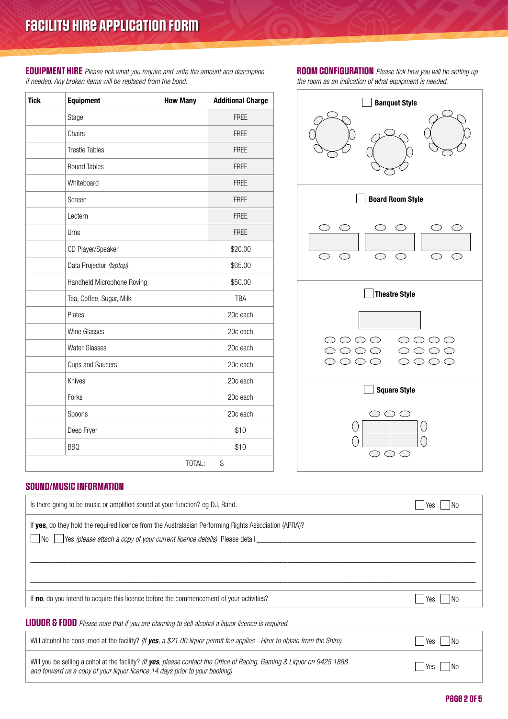EQUIPMENT HIRE *Please tick what you require and write the amount and description if needed. Any broken items will be replaced from the bond.*

| <b>Tick</b> | <b>Equipment</b>           | <b>How Many</b> | <b>Additional Charge</b> |
|-------------|----------------------------|-----------------|--------------------------|
|             | Stage                      |                 | <b>FREE</b>              |
|             | Chairs                     |                 | <b>FREE</b>              |
|             | <b>Trestle Tables</b>      |                 | <b>FREE</b>              |
|             | Round Tables               |                 | <b>FREE</b>              |
|             | Whiteboard                 |                 | <b>FREE</b>              |
|             | Screen                     |                 | <b>FREE</b>              |
|             | Lectern                    |                 | <b>FREE</b>              |
|             | Urns                       |                 | <b>FREE</b>              |
|             | CD Player/Speaker          |                 | \$20.00                  |
|             | Data Projector (laptop)    |                 | \$65.00                  |
|             | Handheld Microphone Roving |                 | \$50.00                  |
|             | Tea, Coffee, Sugar, Milk   |                 | <b>TBA</b>               |
|             | Plates                     |                 | 20c each                 |
|             | Wine Glasses               |                 | 20c each                 |
|             | <b>Water Glasses</b>       |                 | 20c each                 |
|             | <b>Cups and Saucers</b>    |                 | 20c each                 |
|             | Knives                     |                 | 20c each                 |
|             | Forks                      |                 | 20c each                 |
|             | Spoons                     |                 | 20c each                 |
|             | Deep Fryer                 |                 | \$10                     |
|             | <b>BBQ</b>                 |                 | \$10                     |
|             |                            | TOTAL:          | \$                       |

ROOM CONFIGURATION *Please tick how you will be setting up the room as an indication of what equipment is needed.*



## SOUND/MUSIC INFORMATION

| Is there going to be music or amplified sound at your function? eg DJ, Band.                                                                                                                                   |                       |
|----------------------------------------------------------------------------------------------------------------------------------------------------------------------------------------------------------------|-----------------------|
|                                                                                                                                                                                                                | No.<br>Yes            |
| If <b>yes</b> , do they hold the required licence from the Australasian Performing Rights Association (APRA)?                                                                                                  |                       |
| Yes (please attach a copy of your current licence details) Please detail:<br>No l                                                                                                                              |                       |
|                                                                                                                                                                                                                |                       |
|                                                                                                                                                                                                                |                       |
|                                                                                                                                                                                                                |                       |
|                                                                                                                                                                                                                |                       |
| If no, do you intend to acquire this licence before the commencement of your activities?                                                                                                                       | No.<br>Yes            |
|                                                                                                                                                                                                                |                       |
| <b>LIQUOR &amp; FOOD</b> Please note that if you are planning to sell alcohol a liquor licence is required.                                                                                                    |                       |
| Will alcohol be consumed at the facility? (If yes, a \$21.00 liquor permit fee applies - Hirer to obtain from the Shire)                                                                                       | N <sub>0</sub><br>Yes |
| Will you be selling alcohol at the facility? (If <b>yes</b> , please contact the Office of Racing, Gaming & Liguor on 9425 1888<br>and forward us a copy of your liquor licence 14 days prior to your booking) | No                    |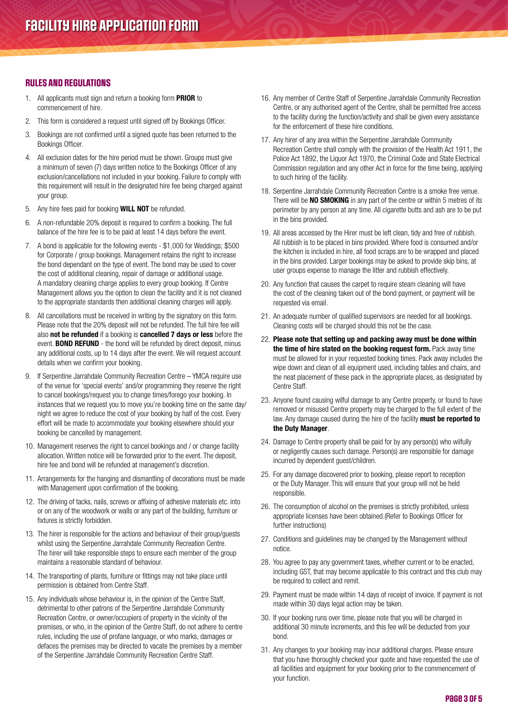### RULES AND REGULATIONS

- 1. All applicants must sign and return a booking form **PRIOR** to commencement of hire.
- 2. This form is considered a request until signed off by Bookings Officer.
- 3. Bookings are not confirmed until a signed quote has been returned to the Bookings Officer.
- 4. All exclusion dates for the hire period must be shown. Groups must give a minimum of seven (7) days written notice to the Bookings Officer of any exclusion/cancellations not included in your booking. Failure to comply with this requirement will result in the designated hire fee being charged against your group.
- 5. Any hire fees paid for booking **WILL NOT** be refunded.
- 6. A non-refundable 20% deposit is required to confirm a booking. The full balance of the hire fee is to be paid at least 14 days before the event.
- 7. A bond is applicable for the following events \$1,000 for Weddings; \$500 for Corporate / group bookings. Management retains the right to increase the bond dependant on the type of event. The bond may be used to cover the cost of additional cleaning, repair of damage or additional usage. A mandatory cleaning charge applies to every group booking. If Centre Management allows you the option to clean the facility and it is not cleaned to the appropriate standards then additional cleaning charges will apply.
- 8. All cancellations must be received in writing by the signatory on this form. Please note that the 20% deposit will not be refunded. The full hire fee will also not be refunded if a booking is cancelled 7 days or less before the event. **BOND REFUND** - the bond will be refunded by direct deposit, minus any additional costs, up to 14 days after the event. We will request account details when we confirm your booking.
- 9. If Serpentine Jarrahdale Community Recreation Centre YMCA require use of the venue for 'special events' and/or programming they reserve the right to cancel bookings/request you to change times/forego your booking. In instances that we request you to move you're booking time on the same day/ night we agree to reduce the cost of your booking by half of the cost. Every effort will be made to accommodate your booking elsewhere should your booking be cancelled by management.
- 10. Management reserves the right to cancel bookings and / or change facility allocation. Written notice will be forwarded prior to the event. The deposit, hire fee and bond will be refunded at management's discretion.
- 11. Arrangements for the hanging and dismantling of decorations must be made with Management upon confirmation of the booking.
- 12. The driving of tacks, nails, screws or affixing of adhesive materials etc. into or on any of the woodwork or walls or any part of the building, furniture or fixtures is strictly forbidden.
- 13. The hirer is responsible for the actions and behaviour of their group/guests whilst using the Serpentine Jarrahdale Community Recreation Centre. The hirer will take responsible steps to ensure each member of the group maintains a reasonable standard of behaviour.
- 14. The transporting of plants, furniture or fittings may not take place until permission is obtained from Centre Staff.
- 15. Any individuals whose behaviour is, in the opinion of the Centre Staff, detrimental to other patrons of the Serpentine Jarrahdale Community Recreation Centre, or owner/occupiers of property in the vicinity of the premises, or who, in the opinion of the Centre Staff, do not adhere to centre rules, including the use of profane language, or who marks, damages or defaces the premises may be directed to vacate the premises by a member of the Serpentine Jarrahdale Community Recreation Centre Staff.
- 16. Any member of Centre Staff of Serpentine Jarrahdale Community Recreation Centre, or any authorised agent of the Centre, shall be permitted free access to the facility during the function/activity and shall be given every assistance for the enforcement of these hire conditions.
- 17. Any hirer of any area within the Serpentine Jarrahdale Community Recreation Centre shall comply with the provision of the Health Act 1911, the Police Act 1892, the Liquor Act 1970, the Criminal Code and State Electrical Commission regulation and any other Act in force for the time being, applying to such hiring of the facility.
- 18. Serpentine Jarrahdale Community Recreation Centre is a smoke free venue. There will be **NO SMOKING** in any part of the centre or within 5 metres of its perimeter by any person at any time. All cigarette butts and ash are to be put in the bins provided.
- 19. All areas accessed by the Hirer must be left clean, tidy and free of rubbish. All rubbish is to be placed in bins provided. Where food is consumed and/or the kitchen is included in hire, all food scraps are to be wrapped and placed in the bins provided. Larger bookings may be asked to provide skip bins, at user groups expense to manage the litter and rubbish effectively.
- 20. Any function that causes the carpet to require steam cleaning will have the cost of the cleaning taken out of the bond payment, or payment will be requested via email.
- 21. An adequate number of qualified supervisors are needed for all bookings. Cleaning costs will be charged should this not be the case.
- 22. Please note that setting up and packing away must be done within the time of hire stated on the booking request form. Pack away time must be allowed for in your requested booking times. Pack away includes the wipe down and clean of all equipment used, including tables and chairs, and the neat placement of these pack in the appropriate places, as designated by Centre Staff.
- 23. Anyone found causing wilful damage to any Centre property, or found to have removed or misused Centre property may be charged to the full extent of the law. Any damage caused during the hire of the facility must be reported to the Duty Manager.
- 24. Damage to Centre property shall be paid for by any person(s) who wilfully or negligently causes such damage. Person(s) are responsible for damage incurred by dependent guest/children.
- 25. For any damage discovered prior to booking, please report to reception or the Duty Manager. This will ensure that your group will not be held responsible.
- 26. The consumption of alcohol on the premises is strictly prohibited, unless appropriate licenses have been obtained.(Refer to Bookings Officer for further instructions)
- 27. Conditions and guidelines may be changed by the Management without notice.
- 28. You agree to pay any government taxes, whether current or to be enacted, including GST, that may become applicable to this contract and this club may be required to collect and remit.
- 29. Payment must be made within 14 days of receipt of invoice. If payment is not made within 30 days legal action may be taken.
- 30. If your booking runs over time, please note that you will be charged in additional 30 minute increments, and this fee will be deducted from your bond.
- 31. Any changes to your booking may incur additional charges. Please ensure that you have thoroughly checked your quote and have requested the use of all facilities and equipment for your booking prior to the commencement of your function.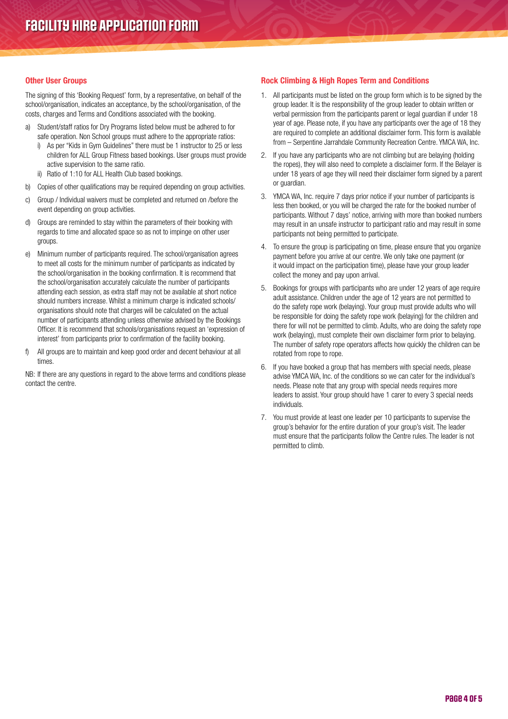#### Other User Groups

The signing of this 'Booking Request' form, by a representative, on behalf of the school/organisation, indicates an acceptance, by the school/organisation, of the costs, charges and Terms and Conditions associated with the booking.

- a) Student/staff ratios for Dry Programs listed below must be adhered to for safe operation. Non School groups must adhere to the appropriate ratios:
	- i) As per "Kids in Gym Guidelines" there must be 1 instructor to 25 or less children for ALL Group Fitness based bookings. User groups must provide active supervision to the same ratio.
	- ii) Ratio of 1:10 for ALL Health Club based bookings.
- b) Copies of other qualifications may be required depending on group activities.
- c) Group / Individual waivers must be completed and returned on /before the event depending on group activities.
- d) Groups are reminded to stay within the parameters of their booking with regards to time and allocated space so as not to impinge on other user groups.
- e) Minimum number of participants required. The school/organisation agrees to meet all costs for the minimum number of participants as indicated by the school/organisation in the booking confirmation. It is recommend that the school/organisation accurately calculate the number of participants attending each session, as extra staff may not be available at short notice should numbers increase. Whilst a minimum charge is indicated schools/ organisations should note that charges will be calculated on the actual number of participants attending unless otherwise advised by the Bookings Officer. It is recommend that schools/organisations request an 'expression of interest' from participants prior to confirmation of the facility booking.
- f) All groups are to maintain and keep good order and decent behaviour at all times.

NB: If there are any questions in regard to the above terms and conditions please contact the centre.

#### Rock Climbing & High Ropes Term and Conditions

- 1. All participants must be listed on the group form which is to be signed by the group leader. It is the responsibility of the group leader to obtain written or verbal permission from the participants parent or legal guardian if under 18 year of age. Please note, if you have any participants over the age of 18 they are required to complete an additional disclaimer form. This form is available from – Serpentine Jarrahdale Community Recreation Centre. YMCA WA, Inc.
- 2. If you have any participants who are not climbing but are belaying (holding the ropes), they will also need to complete a disclaimer form. If the Belayer is under 18 years of age they will need their disclaimer form signed by a parent or guardian.
- 3. YMCA WA, Inc. require 7 days prior notice if your number of participants is less then booked, or you will be charged the rate for the booked number of participants. Without 7 days' notice, arriving with more than booked numbers may result in an unsafe instructor to participant ratio and may result in some participants not being permitted to participate.
- 4. To ensure the group is participating on time, please ensure that you organize payment before you arrive at our centre. We only take one payment (or it would impact on the participation time), please have your group leader collect the money and pay upon arrival.
- 5. Bookings for groups with participants who are under 12 years of age require adult assistance. Children under the age of 12 years are not permitted to do the safety rope work (belaying). Your group must provide adults who will be responsible for doing the safety rope work (belaying) for the children and there for will not be permitted to climb. Adults, who are doing the safety rope work (belaying), must complete their own disclaimer form prior to belaying. The number of safety rope operators affects how quickly the children can be rotated from rope to rope.
- 6. If you have booked a group that has members with special needs, please advise YMCA WA, Inc. of the conditions so we can cater for the individual's needs. Please note that any group with special needs requires more leaders to assist. Your group should have 1 carer to every 3 special needs individuals.
- 7. You must provide at least one leader per 10 participants to supervise the group's behavior for the entire duration of your group's visit. The leader must ensure that the participants follow the Centre rules. The leader is not permitted to climb.